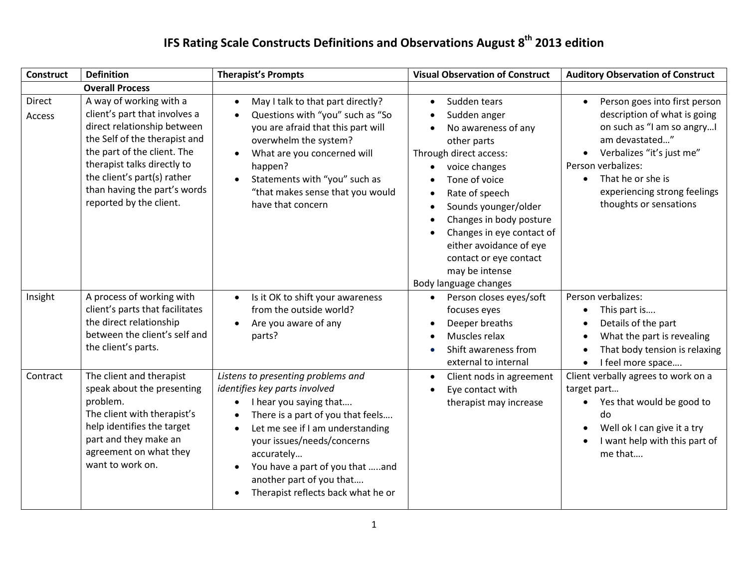| <b>Construct</b> | <b>Definition</b>                                                                                                                                                                                                                                                                | <b>Therapist's Prompts</b>                                                                                                                                                                                                                                                                                              | <b>Visual Observation of Construct</b>                                                                                                                                                                                                                                                                                                                                                            | <b>Auditory Observation of Construct</b>                                                                                                                                                                                                        |
|------------------|----------------------------------------------------------------------------------------------------------------------------------------------------------------------------------------------------------------------------------------------------------------------------------|-------------------------------------------------------------------------------------------------------------------------------------------------------------------------------------------------------------------------------------------------------------------------------------------------------------------------|---------------------------------------------------------------------------------------------------------------------------------------------------------------------------------------------------------------------------------------------------------------------------------------------------------------------------------------------------------------------------------------------------|-------------------------------------------------------------------------------------------------------------------------------------------------------------------------------------------------------------------------------------------------|
|                  | <b>Overall Process</b>                                                                                                                                                                                                                                                           |                                                                                                                                                                                                                                                                                                                         |                                                                                                                                                                                                                                                                                                                                                                                                   |                                                                                                                                                                                                                                                 |
| Direct<br>Access | A way of working with a<br>client's part that involves a<br>direct relationship between<br>the Self of the therapist and<br>the part of the client. The<br>therapist talks directly to<br>the client's part(s) rather<br>than having the part's words<br>reported by the client. | May I talk to that part directly?<br>$\bullet$<br>Questions with "you" such as "So<br>you are afraid that this part will<br>overwhelm the system?<br>What are you concerned will<br>happen?<br>Statements with "you" such as<br>"that makes sense that you would<br>have that concern                                   | Sudden tears<br>$\bullet$<br>Sudden anger<br>$\bullet$<br>No awareness of any<br>other parts<br>Through direct access:<br>voice changes<br>$\bullet$<br>Tone of voice<br>Rate of speech<br>$\bullet$<br>Sounds younger/older<br>$\bullet$<br>Changes in body posture<br>Changes in eye contact of<br>either avoidance of eye<br>contact or eye contact<br>may be intense<br>Body language changes | Person goes into first person<br>description of what is going<br>on such as "I am so angry!<br>am devastated"<br>Verbalizes "it's just me"<br>Person verbalizes:<br>That he or she is<br>experiencing strong feelings<br>thoughts or sensations |
| Insight          | A process of working with<br>client's parts that facilitates<br>the direct relationship<br>between the client's self and<br>the client's parts.                                                                                                                                  | Is it OK to shift your awareness<br>from the outside world?<br>Are you aware of any<br>$\bullet$<br>parts?                                                                                                                                                                                                              | Person closes eyes/soft<br>$\bullet$<br>focuses eyes<br>Deeper breaths<br>Muscles relax<br>Shift awareness from<br>external to internal                                                                                                                                                                                                                                                           | Person verbalizes:<br>This part is<br>Details of the part<br>What the part is revealing<br>That body tension is relaxing<br>I feel more space                                                                                                   |
| Contract         | The client and therapist<br>speak about the presenting<br>problem.<br>The client with therapist's<br>help identifies the target<br>part and they make an<br>agreement on what they<br>want to work on.                                                                           | Listens to presenting problems and<br>identifies key parts involved<br>I hear you saying that<br>There is a part of you that feels<br>Let me see if I am understanding<br>your issues/needs/concerns<br>accurately<br>You have a part of you that and<br>another part of you that<br>Therapist reflects back what he or | Client nods in agreement<br>$\bullet$<br>Eye contact with<br>therapist may increase                                                                                                                                                                                                                                                                                                               | Client verbally agrees to work on a<br>target part<br>Yes that would be good to<br>do<br>Well ok I can give it a try<br>I want help with this part of<br>me that                                                                                |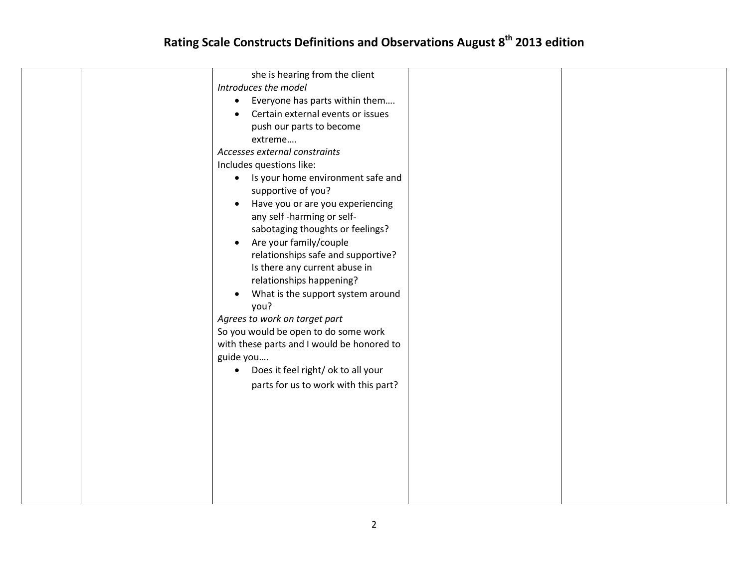| she is hearing from the client<br>Introduces the model<br>Everyone has parts within them<br>$\bullet$<br>Certain external events or issues<br>push our parts to become<br>extreme<br>Accesses external constraints<br>Includes questions like:<br>Is your home environment safe and<br>$\bullet$<br>supportive of you?<br>Have you or are you experiencing<br>$\bullet$<br>any self-harming or self-<br>sabotaging thoughts or feelings?<br>Are your family/couple<br>$\bullet$<br>relationships safe and supportive?<br>Is there any current abuse in<br>relationships happening?<br>What is the support system around<br>you?<br>Agrees to work on target part<br>So you would be open to do some work<br>with these parts and I would be honored to<br>guide you<br>Does it feel right/ ok to all your<br>parts for us to work with this part? |  |
|---------------------------------------------------------------------------------------------------------------------------------------------------------------------------------------------------------------------------------------------------------------------------------------------------------------------------------------------------------------------------------------------------------------------------------------------------------------------------------------------------------------------------------------------------------------------------------------------------------------------------------------------------------------------------------------------------------------------------------------------------------------------------------------------------------------------------------------------------|--|
|                                                                                                                                                                                                                                                                                                                                                                                                                                                                                                                                                                                                                                                                                                                                                                                                                                                   |  |
|                                                                                                                                                                                                                                                                                                                                                                                                                                                                                                                                                                                                                                                                                                                                                                                                                                                   |  |
|                                                                                                                                                                                                                                                                                                                                                                                                                                                                                                                                                                                                                                                                                                                                                                                                                                                   |  |
|                                                                                                                                                                                                                                                                                                                                                                                                                                                                                                                                                                                                                                                                                                                                                                                                                                                   |  |
|                                                                                                                                                                                                                                                                                                                                                                                                                                                                                                                                                                                                                                                                                                                                                                                                                                                   |  |
|                                                                                                                                                                                                                                                                                                                                                                                                                                                                                                                                                                                                                                                                                                                                                                                                                                                   |  |
|                                                                                                                                                                                                                                                                                                                                                                                                                                                                                                                                                                                                                                                                                                                                                                                                                                                   |  |
|                                                                                                                                                                                                                                                                                                                                                                                                                                                                                                                                                                                                                                                                                                                                                                                                                                                   |  |
|                                                                                                                                                                                                                                                                                                                                                                                                                                                                                                                                                                                                                                                                                                                                                                                                                                                   |  |
|                                                                                                                                                                                                                                                                                                                                                                                                                                                                                                                                                                                                                                                                                                                                                                                                                                                   |  |
|                                                                                                                                                                                                                                                                                                                                                                                                                                                                                                                                                                                                                                                                                                                                                                                                                                                   |  |
|                                                                                                                                                                                                                                                                                                                                                                                                                                                                                                                                                                                                                                                                                                                                                                                                                                                   |  |
|                                                                                                                                                                                                                                                                                                                                                                                                                                                                                                                                                                                                                                                                                                                                                                                                                                                   |  |
|                                                                                                                                                                                                                                                                                                                                                                                                                                                                                                                                                                                                                                                                                                                                                                                                                                                   |  |
|                                                                                                                                                                                                                                                                                                                                                                                                                                                                                                                                                                                                                                                                                                                                                                                                                                                   |  |
|                                                                                                                                                                                                                                                                                                                                                                                                                                                                                                                                                                                                                                                                                                                                                                                                                                                   |  |
|                                                                                                                                                                                                                                                                                                                                                                                                                                                                                                                                                                                                                                                                                                                                                                                                                                                   |  |
|                                                                                                                                                                                                                                                                                                                                                                                                                                                                                                                                                                                                                                                                                                                                                                                                                                                   |  |
|                                                                                                                                                                                                                                                                                                                                                                                                                                                                                                                                                                                                                                                                                                                                                                                                                                                   |  |
|                                                                                                                                                                                                                                                                                                                                                                                                                                                                                                                                                                                                                                                                                                                                                                                                                                                   |  |
|                                                                                                                                                                                                                                                                                                                                                                                                                                                                                                                                                                                                                                                                                                                                                                                                                                                   |  |
|                                                                                                                                                                                                                                                                                                                                                                                                                                                                                                                                                                                                                                                                                                                                                                                                                                                   |  |
|                                                                                                                                                                                                                                                                                                                                                                                                                                                                                                                                                                                                                                                                                                                                                                                                                                                   |  |
|                                                                                                                                                                                                                                                                                                                                                                                                                                                                                                                                                                                                                                                                                                                                                                                                                                                   |  |
|                                                                                                                                                                                                                                                                                                                                                                                                                                                                                                                                                                                                                                                                                                                                                                                                                                                   |  |
|                                                                                                                                                                                                                                                                                                                                                                                                                                                                                                                                                                                                                                                                                                                                                                                                                                                   |  |
|                                                                                                                                                                                                                                                                                                                                                                                                                                                                                                                                                                                                                                                                                                                                                                                                                                                   |  |
|                                                                                                                                                                                                                                                                                                                                                                                                                                                                                                                                                                                                                                                                                                                                                                                                                                                   |  |
|                                                                                                                                                                                                                                                                                                                                                                                                                                                                                                                                                                                                                                                                                                                                                                                                                                                   |  |
|                                                                                                                                                                                                                                                                                                                                                                                                                                                                                                                                                                                                                                                                                                                                                                                                                                                   |  |
|                                                                                                                                                                                                                                                                                                                                                                                                                                                                                                                                                                                                                                                                                                                                                                                                                                                   |  |
|                                                                                                                                                                                                                                                                                                                                                                                                                                                                                                                                                                                                                                                                                                                                                                                                                                                   |  |
|                                                                                                                                                                                                                                                                                                                                                                                                                                                                                                                                                                                                                                                                                                                                                                                                                                                   |  |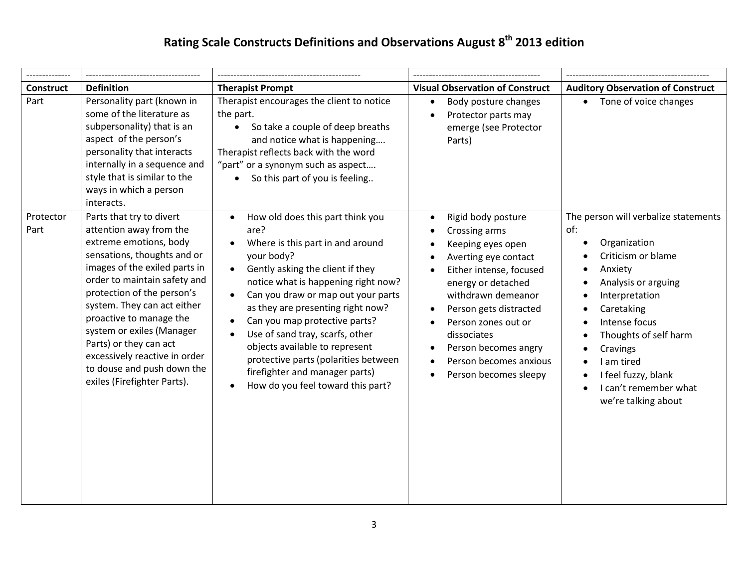| <b>Construct</b>  | <b>Definition</b>                                                                                                                                                                                                                                                                                                                                                                                                          | <b>Therapist Prompt</b>                                                                                                                                                                                                                                                                                                                                                                                                                                                                                                   | <b>Visual Observation of Construct</b>                                                                                                                                                                                                                                                                                                                 | <b>Auditory Observation of Construct</b>                                                                                                                                                                                                                                                                                 |
|-------------------|----------------------------------------------------------------------------------------------------------------------------------------------------------------------------------------------------------------------------------------------------------------------------------------------------------------------------------------------------------------------------------------------------------------------------|---------------------------------------------------------------------------------------------------------------------------------------------------------------------------------------------------------------------------------------------------------------------------------------------------------------------------------------------------------------------------------------------------------------------------------------------------------------------------------------------------------------------------|--------------------------------------------------------------------------------------------------------------------------------------------------------------------------------------------------------------------------------------------------------------------------------------------------------------------------------------------------------|--------------------------------------------------------------------------------------------------------------------------------------------------------------------------------------------------------------------------------------------------------------------------------------------------------------------------|
| Part              | Personality part (known in<br>some of the literature as<br>subpersonality) that is an<br>aspect of the person's<br>personality that interacts<br>internally in a sequence and<br>style that is similar to the<br>ways in which a person<br>interacts.                                                                                                                                                                      | Therapist encourages the client to notice<br>the part.<br>So take a couple of deep breaths<br>and notice what is happening<br>Therapist reflects back with the word<br>"part" or a synonym such as aspect<br>So this part of you is feeling                                                                                                                                                                                                                                                                               | Body posture changes<br>$\bullet$<br>Protector parts may<br>$\bullet$<br>emerge (see Protector<br>Parts)                                                                                                                                                                                                                                               | Tone of voice changes                                                                                                                                                                                                                                                                                                    |
| Protector<br>Part | Parts that try to divert<br>attention away from the<br>extreme emotions, body<br>sensations, thoughts and or<br>images of the exiled parts in<br>order to maintain safety and<br>protection of the person's<br>system. They can act either<br>proactive to manage the<br>system or exiles (Manager<br>Parts) or they can act<br>excessively reactive in order<br>to douse and push down the<br>exiles (Firefighter Parts). | How old does this part think you<br>are?<br>Where is this part in and around<br>your body?<br>Gently asking the client if they<br>$\bullet$<br>notice what is happening right now?<br>Can you draw or map out your parts<br>$\bullet$<br>as they are presenting right now?<br>Can you map protective parts?<br>$\bullet$<br>Use of sand tray, scarfs, other<br>$\bullet$<br>objects available to represent<br>protective parts (polarities between<br>firefighter and manager parts)<br>How do you feel toward this part? | Rigid body posture<br>$\bullet$<br>Crossing arms<br>$\bullet$<br>Keeping eyes open<br>Averting eye contact<br>Either intense, focused<br>energy or detached<br>withdrawn demeanor<br>Person gets distracted<br>$\bullet$<br>Person zones out or<br>dissociates<br>Person becomes angry<br>$\bullet$<br>Person becomes anxious<br>Person becomes sleepy | The person will verbalize statements<br>of:<br>Organization<br>Criticism or blame<br>Anxiety<br>$\bullet$<br>Analysis or arguing<br>Interpretation<br>Caretaking<br>$\bullet$<br>Intense focus<br>Thoughts of self harm<br>Cravings<br>I am tired<br>I feel fuzzy, blank<br>I can't remember what<br>we're talking about |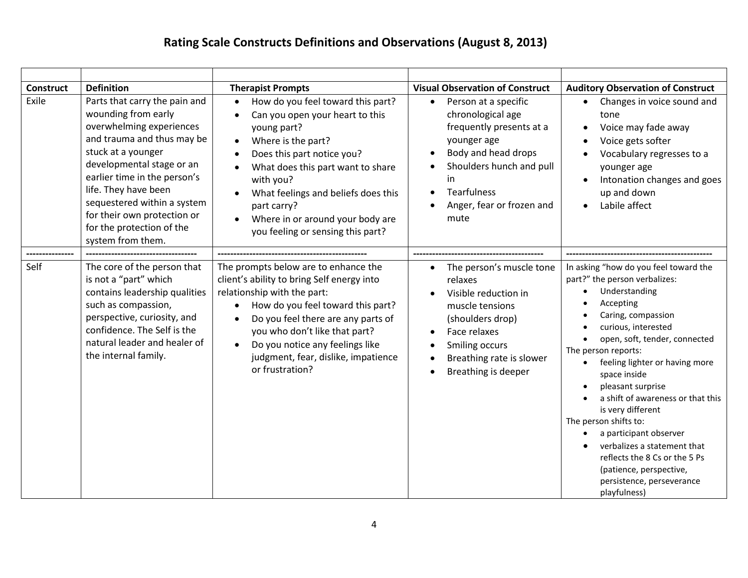| <b>Construct</b> | <b>Definition</b>                                                                                                                                                                                                                                                                                                                         | <b>Therapist Prompts</b>                                                                                                                                                                                                                                                                                                              | <b>Visual Observation of Construct</b>                                                                                                                                                                                | <b>Auditory Observation of Construct</b>                                                                                                                                                                                                                                                                                                                                                                                                                                                                                              |
|------------------|-------------------------------------------------------------------------------------------------------------------------------------------------------------------------------------------------------------------------------------------------------------------------------------------------------------------------------------------|---------------------------------------------------------------------------------------------------------------------------------------------------------------------------------------------------------------------------------------------------------------------------------------------------------------------------------------|-----------------------------------------------------------------------------------------------------------------------------------------------------------------------------------------------------------------------|---------------------------------------------------------------------------------------------------------------------------------------------------------------------------------------------------------------------------------------------------------------------------------------------------------------------------------------------------------------------------------------------------------------------------------------------------------------------------------------------------------------------------------------|
| Exile            | Parts that carry the pain and<br>wounding from early<br>overwhelming experiences<br>and trauma and thus may be<br>stuck at a younger<br>developmental stage or an<br>earlier time in the person's<br>life. They have been<br>sequestered within a system<br>for their own protection or<br>for the protection of the<br>system from them. | How do you feel toward this part?<br>Can you open your heart to this<br>young part?<br>Where is the part?<br>$\bullet$<br>Does this part notice you?<br>What does this part want to share<br>with you?<br>What feelings and beliefs does this<br>part carry?<br>Where in or around your body are<br>you feeling or sensing this part? | Person at a specific<br>$\bullet$<br>chronological age<br>frequently presents at a<br>younger age<br>Body and head drops<br>Shoulders hunch and pull<br>in<br><b>Tearfulness</b><br>Anger, fear or frozen and<br>mute | Changes in voice sound and<br>tone<br>Voice may fade away<br>Voice gets softer<br>Vocabulary regresses to a<br>younger age<br>Intonation changes and goes<br>up and down<br>Labile affect                                                                                                                                                                                                                                                                                                                                             |
|                  |                                                                                                                                                                                                                                                                                                                                           |                                                                                                                                                                                                                                                                                                                                       |                                                                                                                                                                                                                       |                                                                                                                                                                                                                                                                                                                                                                                                                                                                                                                                       |
| Self             | The core of the person that<br>is not a "part" which<br>contains leadership qualities<br>such as compassion,<br>perspective, curiosity, and<br>confidence. The Self is the<br>natural leader and healer of<br>the internal family.                                                                                                        | The prompts below are to enhance the<br>client's ability to bring Self energy into<br>relationship with the part:<br>How do you feel toward this part?<br>Do you feel there are any parts of<br>you who don't like that part?<br>Do you notice any feelings like<br>judgment, fear, dislike, impatience<br>or frustration?            | The person's muscle tone<br>$\bullet$<br>relaxes<br>Visible reduction in<br>muscle tensions<br>(shoulders drop)<br>Face relaxes<br>Smiling occurs<br>Breathing rate is slower<br>$\bullet$<br>Breathing is deeper     | In asking "how do you feel toward the<br>part?" the person verbalizes:<br>Understanding<br>Accepting<br>Caring, compassion<br>curious, interested<br>open, soft, tender, connected<br>The person reports:<br>feeling lighter or having more<br>space inside<br>pleasant surprise<br>a shift of awareness or that this<br>is very different<br>The person shifts to:<br>a participant observer<br>verbalizes a statement that<br>reflects the 8 Cs or the 5 Ps<br>(patience, perspective,<br>persistence, perseverance<br>playfulness) |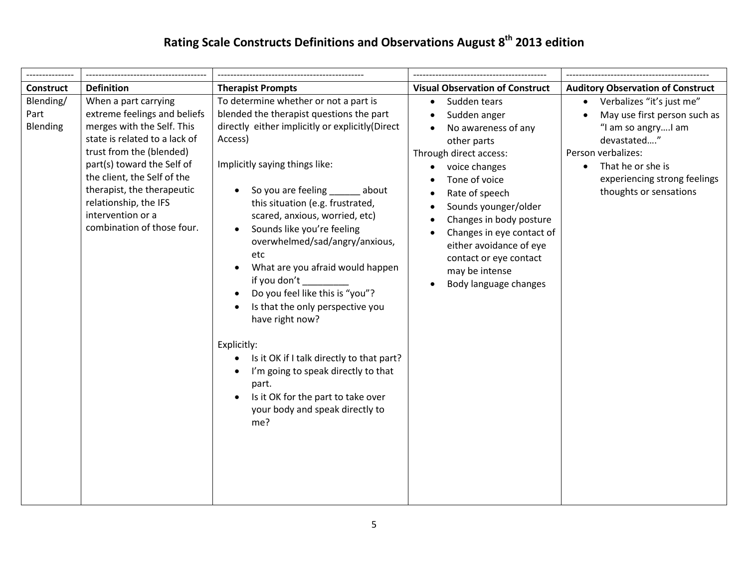| <b>Construct</b>              | <b>Definition</b>                                                                                                                                                                                                                                                                                                      | <b>Therapist Prompts</b>                                                                                                                                                                                                                                                                                                                                                                                                                                                                                                                                                                                                                                                                                              | <b>Visual Observation of Construct</b>                                                                                                                                                                                                                                                                                                                     | <b>Auditory Observation of Construct</b>                                                                                                                                                                                      |
|-------------------------------|------------------------------------------------------------------------------------------------------------------------------------------------------------------------------------------------------------------------------------------------------------------------------------------------------------------------|-----------------------------------------------------------------------------------------------------------------------------------------------------------------------------------------------------------------------------------------------------------------------------------------------------------------------------------------------------------------------------------------------------------------------------------------------------------------------------------------------------------------------------------------------------------------------------------------------------------------------------------------------------------------------------------------------------------------------|------------------------------------------------------------------------------------------------------------------------------------------------------------------------------------------------------------------------------------------------------------------------------------------------------------------------------------------------------------|-------------------------------------------------------------------------------------------------------------------------------------------------------------------------------------------------------------------------------|
| Blending/<br>Part<br>Blending | When a part carrying<br>extreme feelings and beliefs<br>merges with the Self. This<br>state is related to a lack of<br>trust from the (blended)<br>part(s) toward the Self of<br>the client, the Self of the<br>therapist, the therapeutic<br>relationship, the IFS<br>intervention or a<br>combination of those four. | To determine whether or not a part is<br>blended the therapist questions the part<br>directly either implicitly or explicitly (Direct<br>Access)<br>Implicitly saying things like:<br>So you are feeling<br>about<br>$\bullet$<br>this situation (e.g. frustrated,<br>scared, anxious, worried, etc)<br>Sounds like you're feeling<br>overwhelmed/sad/angry/anxious,<br>etc<br>What are you afraid would happen<br>if you don't<br>Do you feel like this is "you"?<br>Is that the only perspective you<br>have right now?<br>Explicitly:<br>Is it OK if I talk directly to that part?<br>I'm going to speak directly to that<br>part.<br>Is it OK for the part to take over<br>your body and speak directly to<br>me? | Sudden tears<br>$\bullet$<br>Sudden anger<br>No awareness of any<br>other parts<br>Through direct access:<br>voice changes<br>$\bullet$<br>Tone of voice<br>Rate of speech<br>Sounds younger/older<br>Changes in body posture<br>Changes in eye contact of<br>either avoidance of eye<br>contact or eye contact<br>may be intense<br>Body language changes | Verbalizes "it's just me"<br>$\bullet$<br>May use first person such as<br>"I am so angryI am<br>devastated"<br>Person verbalizes:<br>That he or she is<br>$\bullet$<br>experiencing strong feelings<br>thoughts or sensations |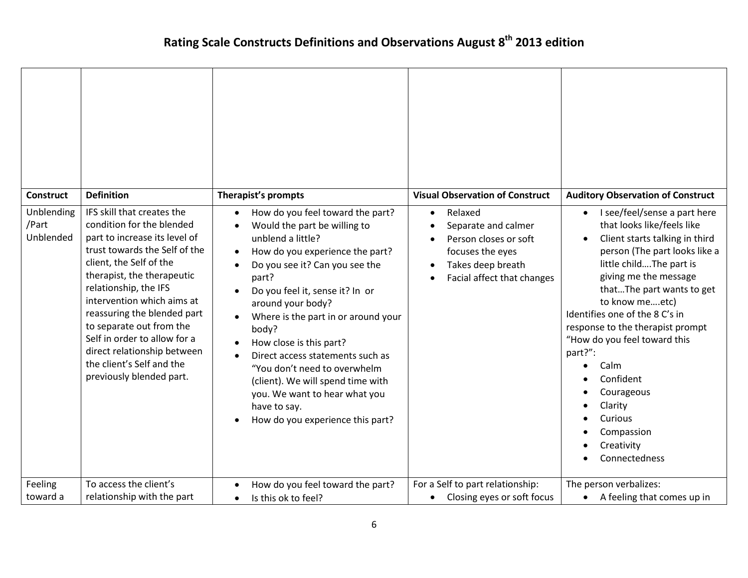| <b>Construct</b>                 | <b>Definition</b>                                                                                                                                                                                                                                                                                                                                                                                                            | Therapist's prompts                                                                                                                                                                                                                                                                                                                                                                                                                                                                                                                                                                                          | <b>Visual Observation of Construct</b>                                                                                                      | <b>Auditory Observation of Construct</b>                                                                                                                                                                                                                                                                                                                                                                                                                                          |
|----------------------------------|------------------------------------------------------------------------------------------------------------------------------------------------------------------------------------------------------------------------------------------------------------------------------------------------------------------------------------------------------------------------------------------------------------------------------|--------------------------------------------------------------------------------------------------------------------------------------------------------------------------------------------------------------------------------------------------------------------------------------------------------------------------------------------------------------------------------------------------------------------------------------------------------------------------------------------------------------------------------------------------------------------------------------------------------------|---------------------------------------------------------------------------------------------------------------------------------------------|-----------------------------------------------------------------------------------------------------------------------------------------------------------------------------------------------------------------------------------------------------------------------------------------------------------------------------------------------------------------------------------------------------------------------------------------------------------------------------------|
| Unblending<br>/Part<br>Unblended | IFS skill that creates the<br>condition for the blended<br>part to increase its level of<br>trust towards the Self of the<br>client, the Self of the<br>therapist, the therapeutic<br>relationship, the IFS<br>intervention which aims at<br>reassuring the blended part<br>to separate out from the<br>Self in order to allow for a<br>direct relationship between<br>the client's Self and the<br>previously blended part. | How do you feel toward the part?<br>$\bullet$<br>Would the part be willing to<br>$\bullet$<br>unblend a little?<br>How do you experience the part?<br>$\bullet$<br>Do you see it? Can you see the<br>$\bullet$<br>part?<br>Do you feel it, sense it? In or<br>$\bullet$<br>around your body?<br>Where is the part in or around your<br>$\bullet$<br>body?<br>How close is this part?<br>$\bullet$<br>Direct access statements such as<br>$\bullet$<br>"You don't need to overwhelm<br>(client). We will spend time with<br>you. We want to hear what you<br>have to say.<br>How do you experience this part? | Relaxed<br>$\bullet$<br>Separate and calmer<br>Person closes or soft<br>focuses the eyes<br>Takes deep breath<br>Facial affect that changes | I see/feel/sense a part here<br>$\bullet$<br>that looks like/feels like<br>Client starts talking in third<br>$\bullet$<br>person (The part looks like a<br>little childThe part is<br>giving me the message<br>thatThe part wants to get<br>to know meetc)<br>Identifies one of the 8 C's in<br>response to the therapist prompt<br>"How do you feel toward this<br>part?":<br>Calm<br>Confident<br>Courageous<br>Clarity<br>Curious<br>Compassion<br>Creativity<br>Connectedness |
| Feeling<br>toward a              | To access the client's<br>relationship with the part                                                                                                                                                                                                                                                                                                                                                                         | How do you feel toward the part?<br>$\bullet$<br>Is this ok to feel?<br>$\bullet$                                                                                                                                                                                                                                                                                                                                                                                                                                                                                                                            | For a Self to part relationship:<br>Closing eyes or soft focus<br>$\bullet$                                                                 | The person verbalizes:<br>A feeling that comes up in<br>$\bullet$                                                                                                                                                                                                                                                                                                                                                                                                                 |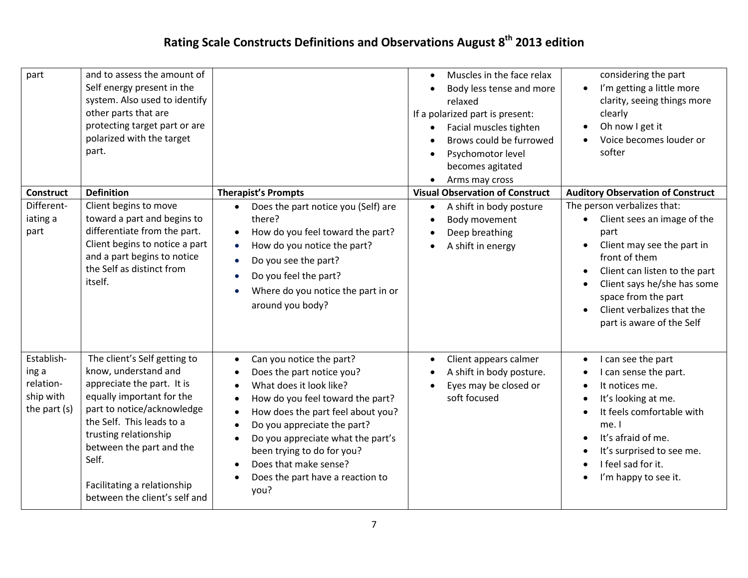| part                                                          | and to assess the amount of<br>Self energy present in the<br>system. Also used to identify<br>other parts that are<br>protecting target part or are<br>polarized with the target<br>part.                                                                                                                |                                                                                                                                                                                                                                                                                                                                  | Muscles in the face relax<br>$\bullet$<br>Body less tense and more<br>$\bullet$<br>relaxed<br>If a polarized part is present:<br>Facial muscles tighten<br>$\bullet$<br>Brows could be furrowed<br>Psychomotor level<br>$\bullet$<br>becomes agitated<br>Arms may cross<br>$\bullet$ | considering the part<br>I'm getting a little more<br>$\bullet$<br>clarity, seeing things more<br>clearly<br>Oh now I get it<br>Voice becomes louder or<br>softer                                                                                                                 |
|---------------------------------------------------------------|----------------------------------------------------------------------------------------------------------------------------------------------------------------------------------------------------------------------------------------------------------------------------------------------------------|----------------------------------------------------------------------------------------------------------------------------------------------------------------------------------------------------------------------------------------------------------------------------------------------------------------------------------|--------------------------------------------------------------------------------------------------------------------------------------------------------------------------------------------------------------------------------------------------------------------------------------|----------------------------------------------------------------------------------------------------------------------------------------------------------------------------------------------------------------------------------------------------------------------------------|
| <b>Construct</b>                                              | <b>Definition</b>                                                                                                                                                                                                                                                                                        | <b>Therapist's Prompts</b>                                                                                                                                                                                                                                                                                                       | <b>Visual Observation of Construct</b>                                                                                                                                                                                                                                               | <b>Auditory Observation of Construct</b>                                                                                                                                                                                                                                         |
| Different-<br>iating a<br>part                                | Client begins to move<br>toward a part and begins to<br>differentiate from the part.<br>Client begins to notice a part<br>and a part begins to notice<br>the Self as distinct from<br>itself.                                                                                                            | Does the part notice you (Self) are<br>there?<br>How do you feel toward the part?<br>$\bullet$<br>How do you notice the part?<br>$\bullet$<br>Do you see the part?<br>$\bullet$<br>Do you feel the part?<br>Where do you notice the part in or<br>around you body?                                                               | A shift in body posture<br>$\bullet$<br>Body movement<br>$\bullet$<br>Deep breathing<br>$\bullet$<br>A shift in energy<br>$\bullet$                                                                                                                                                  | The person verbalizes that:<br>Client sees an image of the<br>part<br>Client may see the part in<br>front of them<br>Client can listen to the part<br>$\bullet$<br>Client says he/she has some<br>space from the part<br>Client verbalizes that the<br>part is aware of the Self |
| Establish-<br>ing a<br>relation-<br>ship with<br>the part (s) | The client's Self getting to<br>know, understand and<br>appreciate the part. It is<br>equally important for the<br>part to notice/acknowledge<br>the Self. This leads to a<br>trusting relationship<br>between the part and the<br>Self.<br>Facilitating a relationship<br>between the client's self and | Can you notice the part?<br>Does the part notice you?<br>What does it look like?<br>How do you feel toward the part?<br>How does the part feel about you?<br>Do you appreciate the part?<br>Do you appreciate what the part's<br>been trying to do for you?<br>Does that make sense?<br>Does the part have a reaction to<br>you? | Client appears calmer<br>$\bullet$<br>A shift in body posture.<br>$\bullet$<br>Eyes may be closed or<br>soft focused                                                                                                                                                                 | I can see the part<br>$\bullet$<br>I can sense the part.<br>It notices me.<br>It's looking at me.<br>It feels comfortable with<br>me. I<br>It's afraid of me.<br>It's surprised to see me.<br>I feel sad for it.<br>I'm happy to see it.                                         |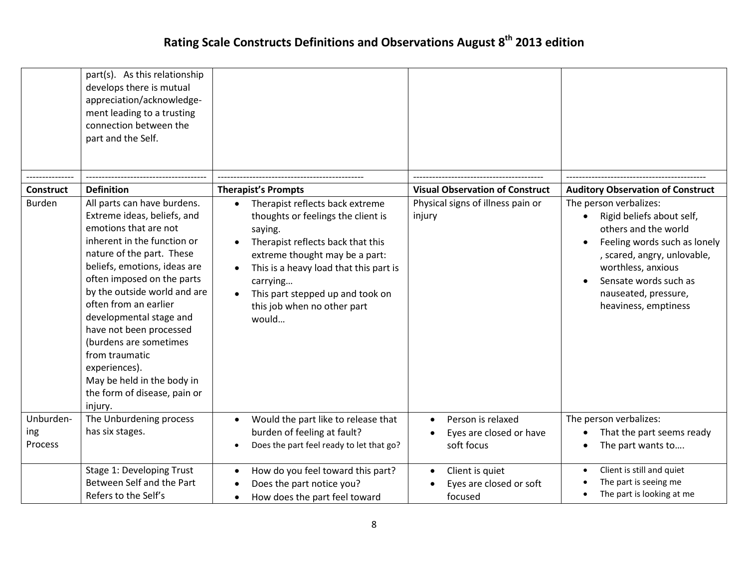|                  | part(s). As this relationship<br>develops there is mutual<br>appreciation/acknowledge-<br>ment leading to a trusting<br>connection between the<br>part and the Self.                                                                                                                                                                                                                                                                                               |                                                                                                                                                                                                                                                                                           |                                                                    |                                                                                                                                                                                                                                                        |
|------------------|--------------------------------------------------------------------------------------------------------------------------------------------------------------------------------------------------------------------------------------------------------------------------------------------------------------------------------------------------------------------------------------------------------------------------------------------------------------------|-------------------------------------------------------------------------------------------------------------------------------------------------------------------------------------------------------------------------------------------------------------------------------------------|--------------------------------------------------------------------|--------------------------------------------------------------------------------------------------------------------------------------------------------------------------------------------------------------------------------------------------------|
|                  |                                                                                                                                                                                                                                                                                                                                                                                                                                                                    |                                                                                                                                                                                                                                                                                           |                                                                    |                                                                                                                                                                                                                                                        |
| <b>Construct</b> | <b>Definition</b>                                                                                                                                                                                                                                                                                                                                                                                                                                                  | <b>Therapist's Prompts</b>                                                                                                                                                                                                                                                                | <b>Visual Observation of Construct</b>                             | <b>Auditory Observation of Construct</b>                                                                                                                                                                                                               |
| <b>Burden</b>    | All parts can have burdens.<br>Extreme ideas, beliefs, and<br>emotions that are not<br>inherent in the function or<br>nature of the part. These<br>beliefs, emotions, ideas are<br>often imposed on the parts<br>by the outside world and are<br>often from an earlier<br>developmental stage and<br>have not been processed<br>(burdens are sometimes<br>from traumatic<br>experiences).<br>May be held in the body in<br>the form of disease, pain or<br>injury. | Therapist reflects back extreme<br>thoughts or feelings the client is<br>saying.<br>Therapist reflects back that this<br>extreme thought may be a part:<br>This is a heavy load that this part is<br>carrying<br>This part stepped up and took on<br>this job when no other part<br>would | Physical signs of illness pain or<br>injury                        | The person verbalizes:<br>Rigid beliefs about self,<br>$\bullet$<br>others and the world<br>Feeling words such as lonely<br>, scared, angry, unlovable,<br>worthless, anxious<br>Sensate words such as<br>nauseated, pressure,<br>heaviness, emptiness |
| Unburden-        | The Unburdening process                                                                                                                                                                                                                                                                                                                                                                                                                                            | Would the part like to release that                                                                                                                                                                                                                                                       | Person is relaxed<br>$\bullet$                                     | The person verbalizes:                                                                                                                                                                                                                                 |
| ing<br>Process   | has six stages.                                                                                                                                                                                                                                                                                                                                                                                                                                                    | burden of feeling at fault?<br>Does the part feel ready to let that go?<br>$\bullet$                                                                                                                                                                                                      | Eyes are closed or have<br>soft focus                              | That the part seems ready<br>$\bullet$<br>The part wants to                                                                                                                                                                                            |
|                  | Stage 1: Developing Trust<br>Between Self and the Part<br>Refers to the Self's                                                                                                                                                                                                                                                                                                                                                                                     | How do you feel toward this part?<br>Does the part notice you?<br>How does the part feel toward                                                                                                                                                                                           | Client is quiet<br>$\bullet$<br>Eyes are closed or soft<br>focused | Client is still and quiet<br>The part is seeing me<br>The part is looking at me                                                                                                                                                                        |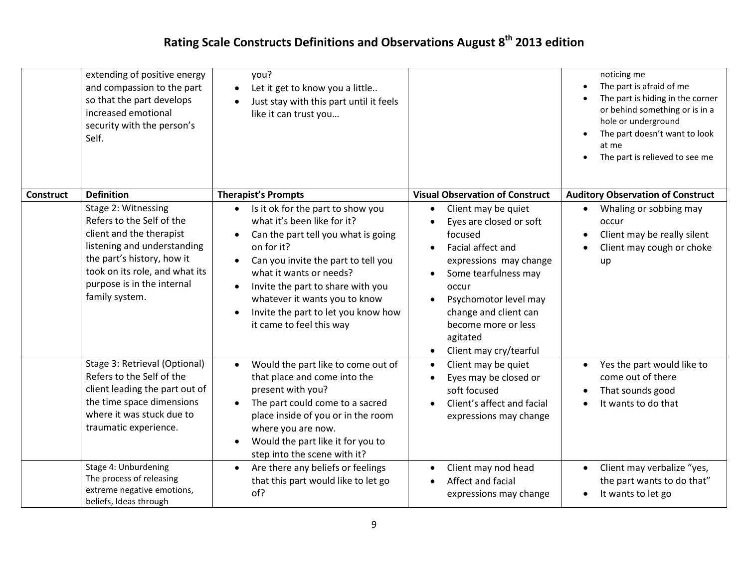|                  | extending of positive energy<br>and compassion to the part<br>so that the part develops<br>increased emotional<br>security with the person's<br>Self.                                                                       | you?<br>Let it get to know you a little<br>$\bullet$<br>Just stay with this part until it feels<br>$\bullet$<br>like it can trust you                                                                                                                                                                                                                                                |                                                                                                                                                                                                                                                                                    | noticing me<br>The part is afraid of me<br>The part is hiding in the corner<br>or behind something or is in a<br>hole or underground<br>The part doesn't want to look<br>at me<br>The part is relieved to see me<br>$\bullet$ |
|------------------|-----------------------------------------------------------------------------------------------------------------------------------------------------------------------------------------------------------------------------|--------------------------------------------------------------------------------------------------------------------------------------------------------------------------------------------------------------------------------------------------------------------------------------------------------------------------------------------------------------------------------------|------------------------------------------------------------------------------------------------------------------------------------------------------------------------------------------------------------------------------------------------------------------------------------|-------------------------------------------------------------------------------------------------------------------------------------------------------------------------------------------------------------------------------|
| <b>Construct</b> | <b>Definition</b>                                                                                                                                                                                                           | <b>Therapist's Prompts</b>                                                                                                                                                                                                                                                                                                                                                           | <b>Visual Observation of Construct</b>                                                                                                                                                                                                                                             | <b>Auditory Observation of Construct</b>                                                                                                                                                                                      |
|                  | Stage 2: Witnessing<br>Refers to the Self of the<br>client and the therapist<br>listening and understanding<br>the part's history, how it<br>took on its role, and what its<br>purpose is in the internal<br>family system. | Is it ok for the part to show you<br>what it's been like for it?<br>Can the part tell you what is going<br>$\bullet$<br>on for it?<br>Can you invite the part to tell you<br>$\bullet$<br>what it wants or needs?<br>Invite the part to share with you<br>$\bullet$<br>whatever it wants you to know<br>Invite the part to let you know how<br>$\bullet$<br>it came to feel this way | Client may be quiet<br>$\bullet$<br>Eyes are closed or soft<br>focused<br>Facial affect and<br>expressions may change<br>Some tearfulness may<br>occur<br>Psychomotor level may<br>change and client can<br>become more or less<br>agitated<br>Client may cry/tearful<br>$\bullet$ | Whaling or sobbing may<br>$\bullet$<br>occur<br>Client may be really silent<br>$\bullet$<br>Client may cough or choke<br>up                                                                                                   |
|                  | Stage 3: Retrieval (Optional)<br>Refers to the Self of the<br>client leading the part out of<br>the time space dimensions<br>where it was stuck due to<br>traumatic experience.                                             | Would the part like to come out of<br>$\bullet$<br>that place and come into the<br>present with you?<br>The part could come to a sacred<br>$\bullet$<br>place inside of you or in the room<br>where you are now.<br>Would the part like it for you to<br>$\bullet$<br>step into the scene with it?                                                                                   | Client may be quiet<br>$\bullet$<br>Eyes may be closed or<br>soft focused<br>Client's affect and facial<br>expressions may change                                                                                                                                                  | Yes the part would like to<br>$\bullet$<br>come out of there<br>That sounds good<br>It wants to do that                                                                                                                       |
|                  | Stage 4: Unburdening<br>The process of releasing<br>extreme negative emotions,<br>beliefs, Ideas through                                                                                                                    | Are there any beliefs or feelings<br>$\bullet$<br>that this part would like to let go<br>of?                                                                                                                                                                                                                                                                                         | Client may nod head<br>$\bullet$<br>Affect and facial<br>expressions may change                                                                                                                                                                                                    | Client may verbalize "yes,<br>$\bullet$<br>the part wants to do that"<br>It wants to let go<br>$\bullet$                                                                                                                      |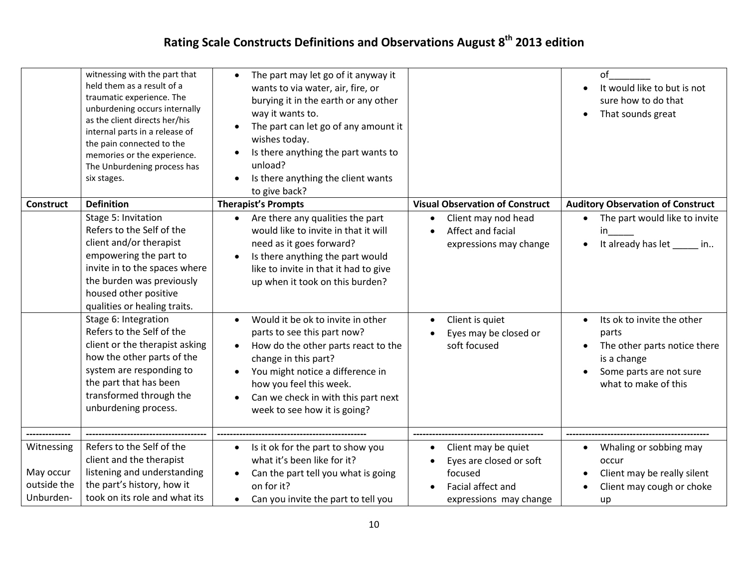|                                                     | witnessing with the part that<br>held them as a result of a<br>traumatic experience. The<br>unburdening occurs internally<br>as the client directs her/his<br>internal parts in a release of<br>the pain connected to the<br>memories or the experience.<br>The Unburdening process has<br>six stages. | The part may let go of it anyway it<br>$\bullet$<br>wants to via water, air, fire, or<br>burying it in the earth or any other<br>way it wants to.<br>The part can let go of any amount it<br>wishes today.<br>Is there anything the part wants to<br>unload?<br>Is there anything the client wants<br>to give back? |                                                                                                          | of<br>It would like to but is not<br>sure how to do that<br>That sounds great<br>$\bullet$                                                         |
|-----------------------------------------------------|--------------------------------------------------------------------------------------------------------------------------------------------------------------------------------------------------------------------------------------------------------------------------------------------------------|---------------------------------------------------------------------------------------------------------------------------------------------------------------------------------------------------------------------------------------------------------------------------------------------------------------------|----------------------------------------------------------------------------------------------------------|----------------------------------------------------------------------------------------------------------------------------------------------------|
| <b>Construct</b>                                    | <b>Definition</b>                                                                                                                                                                                                                                                                                      | <b>Therapist's Prompts</b>                                                                                                                                                                                                                                                                                          | <b>Visual Observation of Construct</b>                                                                   | <b>Auditory Observation of Construct</b>                                                                                                           |
|                                                     | Stage 5: Invitation<br>Refers to the Self of the<br>client and/or therapist<br>empowering the part to<br>invite in to the spaces where<br>the burden was previously<br>housed other positive<br>qualities or healing traits.                                                                           | Are there any qualities the part<br>$\bullet$<br>would like to invite in that it will<br>need as it goes forward?<br>Is there anything the part would<br>like to invite in that it had to give<br>up when it took on this burden?                                                                                   | Client may nod head<br>Affect and facial<br>expressions may change                                       | The part would like to invite<br>in<br>It already has let<br>in                                                                                    |
|                                                     | Stage 6: Integration<br>Refers to the Self of the<br>client or the therapist asking<br>how the other parts of the<br>system are responding to<br>the part that has been<br>transformed through the<br>unburdening process.                                                                             | Would it be ok to invite in other<br>parts to see this part now?<br>How do the other parts react to the<br>change in this part?<br>You might notice a difference in<br>how you feel this week.<br>Can we check in with this part next<br>week to see how it is going?                                               | Client is quiet<br>Eyes may be closed or<br>soft focused                                                 | Its ok to invite the other<br>$\bullet$<br>parts<br>The other parts notice there<br>is a change<br>Some parts are not sure<br>what to make of this |
|                                                     |                                                                                                                                                                                                                                                                                                        |                                                                                                                                                                                                                                                                                                                     |                                                                                                          |                                                                                                                                                    |
| Witnessing<br>May occur<br>outside the<br>Unburden- | Refers to the Self of the<br>client and the therapist<br>listening and understanding<br>the part's history, how it<br>took on its role and what its                                                                                                                                                    | Is it ok for the part to show you<br>$\bullet$<br>what it's been like for it?<br>Can the part tell you what is going<br>on for it?<br>Can you invite the part to tell you<br>$\bullet$                                                                                                                              | Client may be quiet<br>Eyes are closed or soft<br>focused<br>Facial affect and<br>expressions may change | Whaling or sobbing may<br>occur<br>Client may be really silent<br>Client may cough or choke<br>up                                                  |